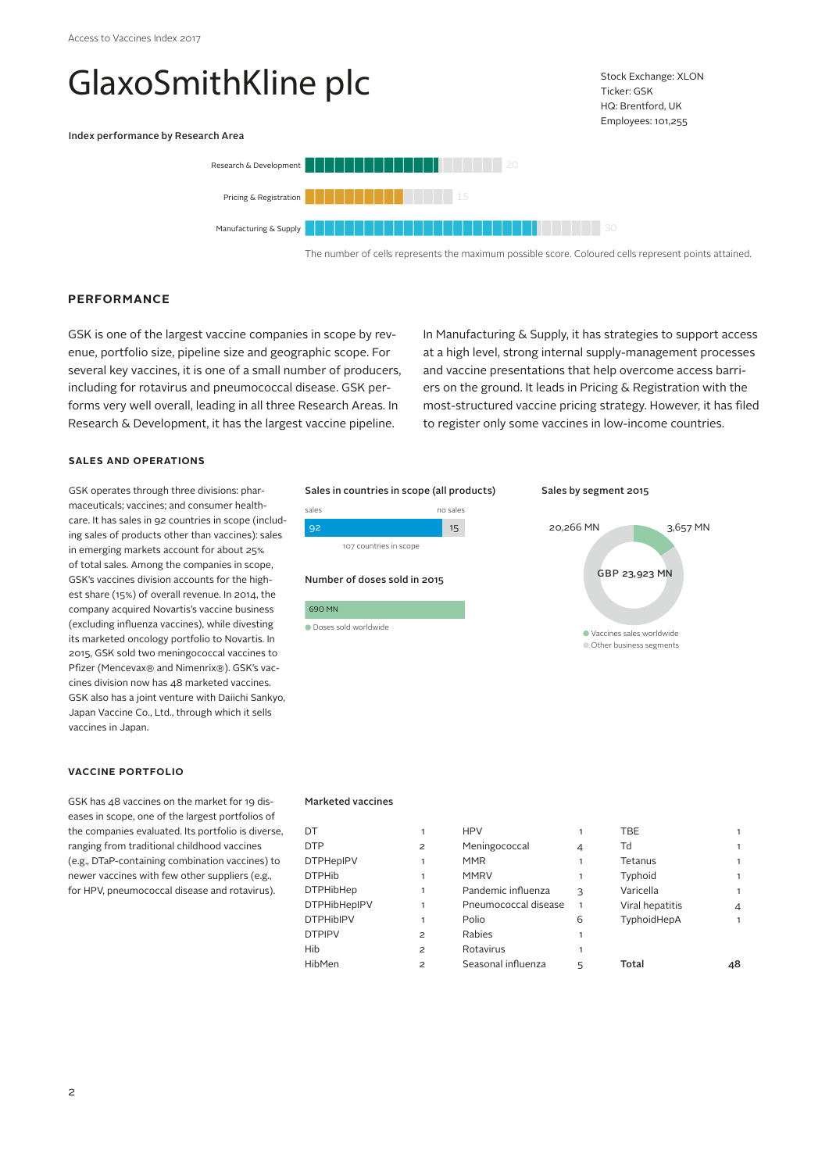## GlaxoSmithKline plc

Index performance by Research Area



The number of cells represents the maximum possible score. Coloured cells represent points attained.

#### **PERFORMANCE**

GSK is one of the largest vaccine companies in scope by revenue, portfolio size, pipeline size and geographic scope. For several key vaccines, it is one of a small number of producers, including for rotavirus and pneumococcal disease. GSK performs very well overall, leading in all three Research Areas. In Research & Development, it has the largest vaccine pipeline.

In Manufacturing & Supply, it has strategies to support access at a high level, strong internal supply-management processes and vaccine presentations that help overcome access barriers on the ground. It leads in Pricing & Registration with the most-structured vaccine pricing strategy. However, it has filed to register only some vaccines in low-income countries.

Sales by segment 2015

Stock Exchange: XLON Ticker: GSK HQ: Brentford, UK Employees: 101,255

#### **SALES AND OPERATIONS**

GSK operates through three divisions: pharmaceuticals; vaccines; and consumer healthcare. It has sales in 92 countries in scope (including sales of products other than vaccines): sales in emerging markets account for about 25% of total sales. Among the companies in scope, GSK's vaccines division accounts for the highest share (15%) of overall revenue. In 2014, the company acquired Novartis's vaccine business (excluding influenza vaccines), while divesting its marketed oncology portfolio to Novartis. In 2015, GSK sold two meningococcal vaccines to Pfizer (Mencevax® and Nimenrix®). GSK's vaccines division now has 48 marketed vaccines. GSK also has a joint venture with Daiichi Sankyo, Japan Vaccine Co., Ltd., through which it sells vaccines in Japan.

#### **VACCINE PORTFOLIO**

GSK has 48 vaccines on the market for 19 diseases in scope, one of the largest portfolios of the companies evaluated. Its portfolio is diverse, ranging from traditional childhood vaccines (e.g., DTaP-containing combination vaccines) to newer vaccines with few other suppliers (e.g., for HPV, pneumococcal disease and rotavirus).

Sales in countries in scope (all products)



#### Number of doses sold in 2015



# GBP 23,923 MN 20,266 MN 3,657 MN

Vaccines sales worldwide Other business segments

#### Marketed vaccines

| DT                  | 1              | <b>HPV</b>           |               | <b>TBE</b>      |    |
|---------------------|----------------|----------------------|---------------|-----------------|----|
| <b>DTP</b>          | $\overline{c}$ | Meningococcal        |               | Td              | 1  |
| <b>DTPHepIPV</b>    | 1              | MMR                  |               | Tetanus         | 1  |
| <b>DTPHib</b>       |                | <b>MMRV</b>          |               | Typhoid         |    |
| <b>DTPHibHep</b>    |                | Pandemic influenza   | $\mathcal{L}$ | Varicella       | 1  |
| <b>DTPHibHepIPV</b> | 1              | Pneumococcal disease |               | Viral hepatitis | 4  |
| <b>DTPHibIPV</b>    | 1              | Polio                | 6             | TyphoidHepA     | 1  |
| <b>DTPIPV</b>       | 2              | Rabies               |               |                 |    |
| Hib                 | $\overline{c}$ | Rotavirus            |               |                 |    |
| HibMen              | 2              | Seasonal influenza   | 5             | Total           | 48 |
|                     |                |                      |               |                 |    |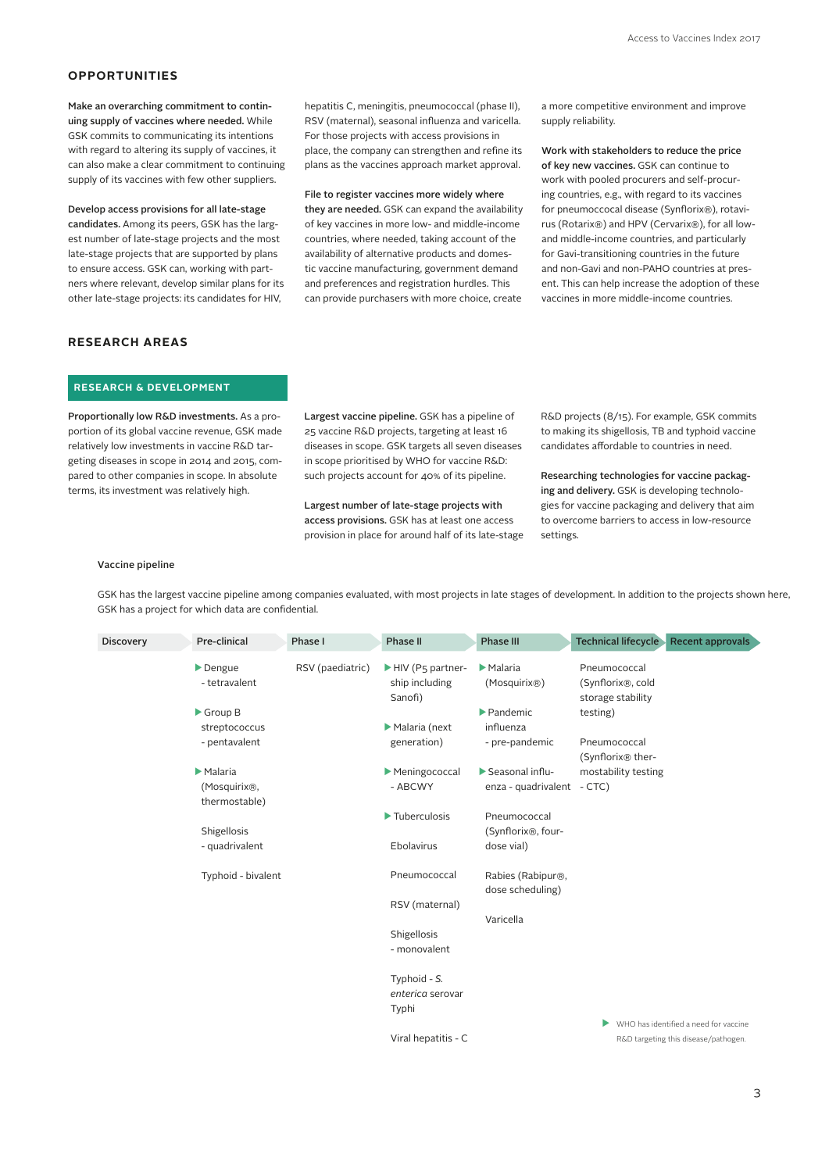#### **OPPORTUNITIES**

Make an overarching commitment to continuing supply of vaccines where needed. While GSK commits to communicating its intentions with regard to altering its supply of vaccines, it can also make a clear commitment to continuing supply of its vaccines with few other suppliers.

Develop access provisions for all late-stage candidates. Among its peers, GSK has the largest number of late-stage projects and the most late-stage projects that are supported by plans to ensure access. GSK can, working with partners where relevant, develop similar plans for its other late-stage projects: its candidates for HIV,

hepatitis C, meningitis, pneumococcal (phase II), RSV (maternal), seasonal influenza and varicella. For those projects with access provisions in place, the company can strengthen and refine its plans as the vaccines approach market approval.

File to register vaccines more widely where

they are needed. GSK can expand the availability of key vaccines in more low- and middle-income countries, where needed, taking account of the availability of alternative products and domestic vaccine manufacturing, government demand and preferences and registration hurdles. This can provide purchasers with more choice, create a more competitive environment and improve supply reliability.

Work with stakeholders to reduce the price of key new vaccines. GSK can continue to work with pooled procurers and self-procuring countries, e.g., with regard to its vaccines for pneumoccocal disease (Synflorix®), rotavirus (Rotarix®) and HPV (Cervarix®), for all lowand middle-income countries, and particularly for Gavi-transitioning countries in the future and non-Gavi and non-PAHO countries at present. This can help increase the adoption of these vaccines in more middle-income countries.

#### **RESEARCH AREAS**

#### **RESEARCH & DEVELOPMENT**

Proportionally low R&D investments. As a proportion of its global vaccine revenue, GSK made relatively low investments in vaccine R&D targeting diseases in scope in 2014 and 2015, compared to other companies in scope. In absolute terms, its investment was relatively high.

Largest vaccine pipeline. GSK has a pipeline of 25 vaccine R&D projects, targeting at least 16 diseases in scope. GSK targets all seven diseases in scope prioritised by WHO for vaccine R&D: such projects account for 40% of its pipeline.

Largest number of late-stage projects with access provisions. GSK has at least one access provision in place for around half of its late-stage

R&D projects (8/15). For example, GSK commits to making its shigellosis, TB and typhoid vaccine candidates affordable to countries in need.

Researching technologies for vaccine packaging and delivery. GSK is developing technologies for vaccine packaging and delivery that aim to overcome barriers to access in low-resource settings.

#### Vaccine pipeline

GSK has the largest vaccine pipeline among companies evaluated, with most projects in late stages of development. In addition to the projects shown here, GSK has a project for which data are confidential.

| <b>Discovery</b> | Pre-clinical                                                   | Phase I          | <b>Phase II</b>                                  | <b>Phase III</b>                                              | <b>Technical lifecycle</b>                                          | <b>Recent approvals</b>                                                       |
|------------------|----------------------------------------------------------------|------------------|--------------------------------------------------|---------------------------------------------------------------|---------------------------------------------------------------------|-------------------------------------------------------------------------------|
|                  | Dengue<br>- tetravalent                                        | RSV (paediatric) | HIV (P5 partner-<br>ship including<br>Sanofi)    | $\blacktriangleright$ Malaria<br>(Mosquirix <sup>®</sup> )    | Pneumococcal<br>(Synflorix <sup>®</sup> , cold<br>storage stability |                                                                               |
|                  | $\triangleright$ Group B<br>streptococcus<br>- pentavalent     |                  | Malaria (next<br>generation)                     | $\blacktriangleright$ Pandemic<br>influenza<br>- pre-pandemic | testing)<br>Pneumococcal<br>(Synflorix <sup>®</sup> ther-           |                                                                               |
|                  | $\blacktriangleright$ Malaria<br>(Mosquirix®,<br>thermostable) |                  | Meningococcal<br>- ABCWY                         | Seasonal influ-<br>enza - quadrivalent - CTC)                 | mostability testing                                                 |                                                                               |
|                  | Shigellosis<br>- quadrivalent                                  |                  | $\blacktriangleright$ Tuberculosis<br>Ebolavirus | Pneumococcal<br>(Synflorix <sup>®</sup> , four-<br>dose vial) |                                                                     |                                                                               |
|                  | Typhoid - bivalent                                             |                  | Pneumococcal<br>RSV (maternal)                   | Rabies (Rabipur®,<br>dose scheduling)                         |                                                                     |                                                                               |
|                  |                                                                |                  | Shigellosis<br>- monovalent                      | Varicella                                                     |                                                                     |                                                                               |
|                  |                                                                |                  | Typhoid - S.<br>enterica serovar<br>Typhi        |                                                               |                                                                     |                                                                               |
|                  |                                                                |                  | Viral hepatitis - C                              |                                                               |                                                                     | WHO has identified a need for vaccine<br>R&D targeting this disease/pathogen. |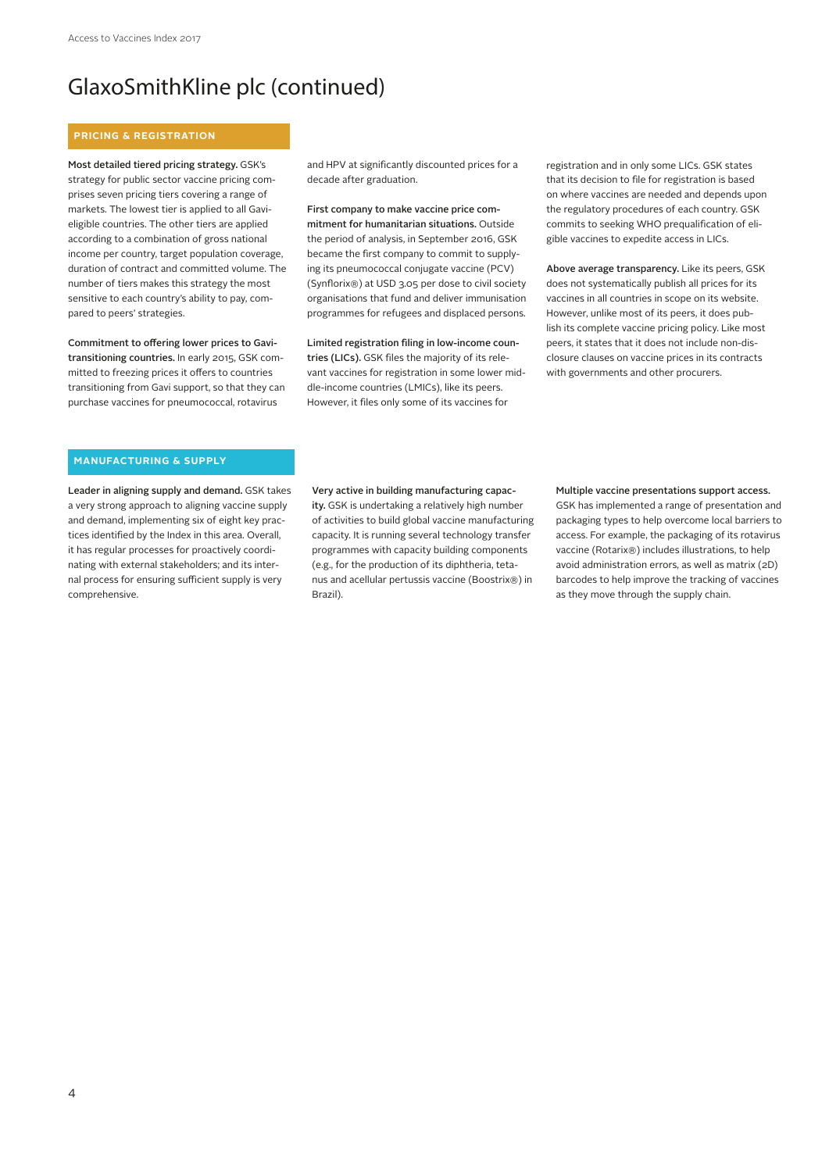### GlaxoSmithKline plc (continued)

#### **PRICING & REGISTRATION**

Most detailed tiered pricing strategy. GSK's strategy for public sector vaccine pricing comprises seven pricing tiers covering a range of markets. The lowest tier is applied to all Gavieligible countries. The other tiers are applied according to a combination of gross national income per country, target population coverage, duration of contract and committed volume. The number of tiers makes this strategy the most sensitive to each country's ability to pay, compared to peers' strategies.

Commitment to offering lower prices to Gavitransitioning countries. In early 2015, GSK committed to freezing prices it offers to countries transitioning from Gavi support, so that they can purchase vaccines for pneumococcal, rotavirus

and HPV at significantly discounted prices for a decade after graduation.

First company to make vaccine price commitment for humanitarian situations. Outside the period of analysis, in September 2016, GSK became the first company to commit to supplying its pneumococcal conjugate vaccine (PCV) (Synflorix®) at USD 3.05 per dose to civil society organisations that fund and deliver immunisation programmes for refugees and displaced persons.

Limited registration filing in low-income countries (LICs). GSK files the majority of its relevant vaccines for registration in some lower middle-income countries (LMICs), like its peers. However, it files only some of its vaccines for

registration and in only some LICs. GSK states that its decision to file for registration is based on where vaccines are needed and depends upon the regulatory procedures of each country. GSK commits to seeking WHO prequalification of eligible vaccines to expedite access in LICs.

Above average transparency. Like its peers, GSK does not systematically publish all prices for its vaccines in all countries in scope on its website. However, unlike most of its peers, it does publish its complete vaccine pricing policy. Like most peers, it states that it does not include non-disclosure clauses on vaccine prices in its contracts with governments and other procurers.

#### **MANUFACTURING & SUPPLY**

Leader in aligning supply and demand. GSK takes a very strong approach to aligning vaccine supply and demand, implementing six of eight key practices identified by the Index in this area. Overall, it has regular processes for proactively coordinating with external stakeholders; and its internal process for ensuring sufficient supply is very comprehensive.

Very active in building manufacturing capacity. GSK is undertaking a relatively high number of activities to build global vaccine manufacturing capacity. It is running several technology transfer programmes with capacity building components (e.g., for the production of its diphtheria, tetanus and acellular pertussis vaccine (Boostrix®) in Brazil).

#### Multiple vaccine presentations support access.

GSK has implemented a range of presentation and packaging types to help overcome local barriers to access. For example, the packaging of its rotavirus vaccine (Rotarix®) includes illustrations, to help avoid administration errors, as well as matrix (2D) barcodes to help improve the tracking of vaccines as they move through the supply chain.